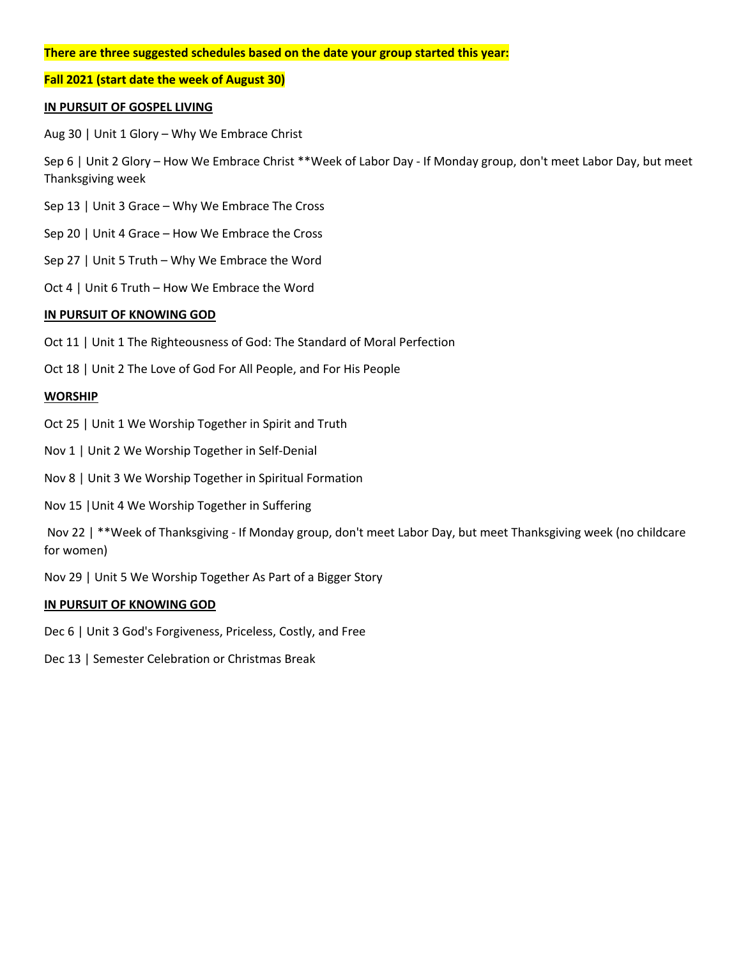# **There are three suggested schedules based on the date your group started this year:**

**Fall 2021 (start date the week of August 30)**

### **IN PURSUIT OF GOSPEL LIVING**

Aug 30 | Unit 1 Glory – Why We Embrace Christ

Sep 6 | Unit 2 Glory – How We Embrace Christ \*\*Week of Labor Day - If Monday group, don't meet Labor Day, but meet Thanksgiving week

- Sep 13 | Unit 3 Grace Why We Embrace The Cross
- Sep 20 | Unit 4 Grace How We Embrace the Cross
- Sep 27 | Unit 5 Truth Why We Embrace the Word
- Oct 4 | Unit 6 Truth How We Embrace the Word

## **IN PURSUIT OF KNOWING GOD**

- Oct 11 | Unit 1 The Righteousness of God: The Standard of Moral Perfection
- Oct 18 | Unit 2 The Love of God For All People, and For His People

### **WORSHIP**

- Oct 25 | Unit 1 We Worship Together in Spirit and Truth
- Nov 1 | Unit 2 We Worship Together in Self-Denial
- Nov 8 | Unit 3 We Worship Together in Spiritual Formation
- Nov 15 |Unit 4 We Worship Together in Suffering

Nov 22 | \*\*Week of Thanksgiving - If Monday group, don't meet Labor Day, but meet Thanksgiving week (no childcare for women)

Nov 29 | Unit 5 We Worship Together As Part of a Bigger Story

### **IN PURSUIT OF KNOWING GOD**

- Dec 6 | Unit 3 God's Forgiveness, Priceless, Costly, and Free
- Dec 13 | Semester Celebration or Christmas Break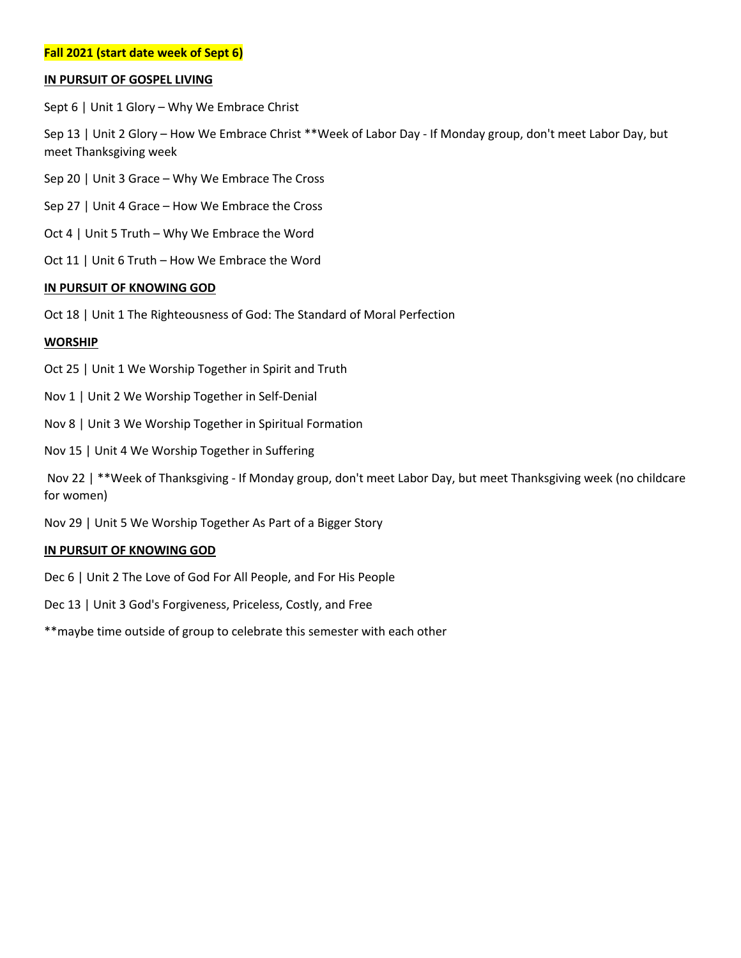# **Fall 2021 (start date week of Sept 6)**

### **IN PURSUIT OF GOSPEL LIVING**

Sept 6 | Unit 1 Glory – Why We Embrace Christ

Sep 13 | Unit 2 Glory – How We Embrace Christ \*\*Week of Labor Day - If Monday group, don't meet Labor Day, but meet Thanksgiving week

- Sep 20 | Unit 3 Grace Why We Embrace The Cross
- Sep 27 | Unit 4 Grace How We Embrace the Cross
- Oct 4 | Unit 5 Truth Why We Embrace the Word
- Oct 11 | Unit 6 Truth How We Embrace the Word

### **IN PURSUIT OF KNOWING GOD**

Oct 18 | Unit 1 The Righteousness of God: The Standard of Moral Perfection

## **WORSHIP**

- Oct 25 | Unit 1 We Worship Together in Spirit and Truth
- Nov 1 | Unit 2 We Worship Together in Self-Denial
- Nov 8 | Unit 3 We Worship Together in Spiritual Formation
- Nov 15 | Unit 4 We Worship Together in Suffering

Nov 22 | \*\*Week of Thanksgiving - If Monday group, don't meet Labor Day, but meet Thanksgiving week (no childcare for women)

Nov 29 | Unit 5 We Worship Together As Part of a Bigger Story

### **IN PURSUIT OF KNOWING GOD**

- Dec 6 | Unit 2 The Love of God For All People, and For His People
- Dec 13 | Unit 3 God's Forgiveness, Priceless, Costly, and Free
- \*\*maybe time outside of group to celebrate this semester with each other